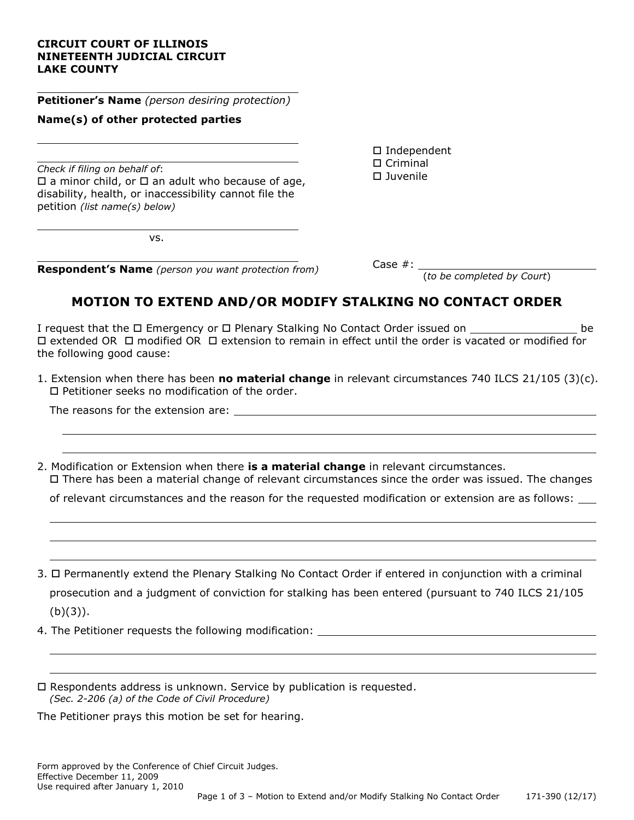#### **CIRCUIT COURT OF ILLINOIS NINETEENTH JUDICIAL CIRCUIT LAKE COUNTY**

**Petitioner's Name** *(person desiring protection)*

#### **Name(s) of other protected parties**

*Check if filing on behalf of*:  $\Box$  a minor child, or  $\Box$  an adult who because of age, disability, health, or inaccessibility cannot file the petition *(list name(s) below)*

vs.

**Respondent's Name** *(person you want protection from)*

| □ Independent      |
|--------------------|
| $\square$ Criminal |
| □ Juvenile         |

Case #:

(*to be completed by Court*)

# **MOTION TO EXTEND AND/OR MODIFY STALKING NO CONTACT ORDER**

I request that the  $\Box$  Emergency or  $\Box$  Plenary Stalking No Contact Order issued on  $\Box$  be be  $\Box$  extended OR  $\Box$  modified OR  $\Box$  extension to remain in effect until the order is vacated or modified for the following good cause:

1. Extension when there has been **no material change** in relevant circumstances 740 ILCS 21/105 (3)(c).  $\square$  Petitioner seeks no modification of the order.

The reasons for the extension are:

2. Modification or Extension when there **is a material change** in relevant circumstances.  $\Box$  There has been a material change of relevant circumstances since the order was issued. The changes

of relevant circumstances and the reason for the requested modification or extension are as follows:

- 3. □ Permanently extend the Plenary Stalking No Contact Order if entered in conjunction with a criminal prosecution and a judgment of conviction for stalking has been entered (pursuant to 740 ILCS 21/105 (b)(3)).
- 4. The Petitioner requests the following modification:
- $\Box$  Respondents address is unknown. Service by publication is requested. *(Sec. 2-206 (a) of the Code of Civil Procedure)*

The Petitioner prays this motion be set for hearing.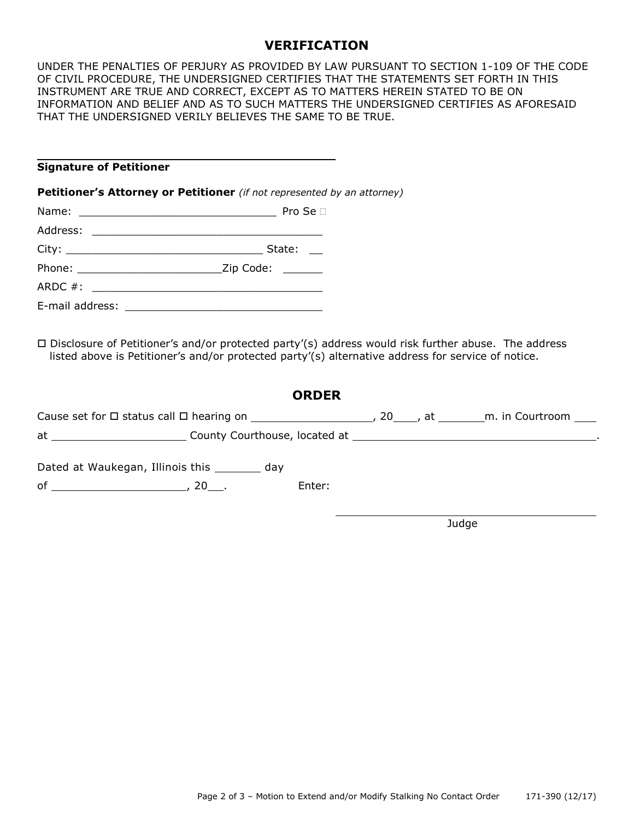### **VERIFICATION**

UNDER THE PENALTIES OF PERJURY AS PROVIDED BY LAW PURSUANT TO SECTION 1-109 OF THE CODE OF CIVIL PROCEDURE, THE UNDERSIGNED CERTIFIES THAT THE STATEMENTS SET FORTH IN THIS INSTRUMENT ARE TRUE AND CORRECT, EXCEPT AS TO MATTERS HEREIN STATED TO BE ON INFORMATION AND BELIEF AND AS TO SUCH MATTERS THE UNDERSIGNED CERTIFIES AS AFORESAID THAT THE UNDERSIGNED VERILY BELIEVES THE SAME TO BE TRUE.

**Signature of Petitioner**

**Petitioner's Attorney or Petitioner** *(if not represented by an attorney)*

|                 | Pro Se $\square$ |
|-----------------|------------------|
|                 |                  |
|                 | State:           |
|                 |                  |
|                 |                  |
| E-mail address: |                  |

 Disclosure of Petitioner's and/or protected party'(s) address would risk further abuse. The address listed above is Petitioner's and/or protected party'(s) alternative address for service of notice.

# **ORDER**

| Dated at Waukegan, Illinois this _________ day |        |  |  |
|------------------------------------------------|--------|--|--|
| of 20 .                                        | Enter: |  |  |

Judge